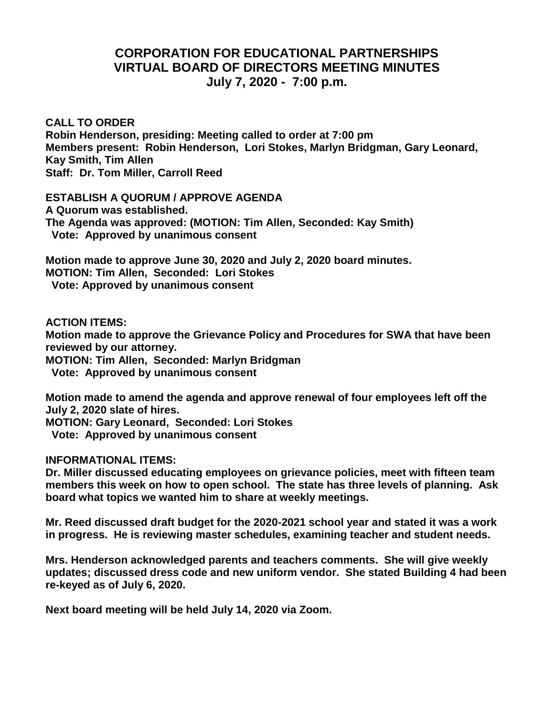## **CORPORATION FOR EDUCATIONAL PARTNERSHIPS VIRTUAL BOARD OF DIRECTORS MEETING MINUTES July 7, 2020 - 7:00 p.m.**

**CALL TO ORDER Robin Henderson, presiding: Meeting called to order at 7:00 pm Members present: Robin Henderson, Lori Stokes, Marlyn Bridgman, Gary Leonard, Kay Smith, Tim Allen Staff: Dr. Tom Miller, Carroll Reed**

**ESTABLISH A QUORUM / APPROVE AGENDA A Quorum was established. The Agenda was approved: (MOTION: Tim Allen, Seconded: Kay Smith) Vote: Approved by unanimous consent**

**Motion made to approve June 30, 2020 and July 2, 2020 board minutes. MOTION: Tim Allen, Seconded: Lori Stokes Vote: Approved by unanimous consent**

**ACTION ITEMS:**

**Motion made to approve the Grievance Policy and Procedures for SWA that have been reviewed by our attorney.**

**MOTION: Tim Allen, Seconded: Marlyn Bridgman**

 **Vote: Approved by unanimous consent**

**Motion made to amend the agenda and approve renewal of four employees left off the July 2, 2020 slate of hires.**

**MOTION: Gary Leonard, Seconded: Lori Stokes**

 **Vote: Approved by unanimous consent**

## **INFORMATIONAL ITEMS:**

**Dr. Miller discussed educating employees on grievance policies, meet with fifteen team members this week on how to open school. The state has three levels of planning. Ask board what topics we wanted him to share at weekly meetings.**

**Mr. Reed discussed draft budget for the 2020-2021 school year and stated it was a work in progress. He is reviewing master schedules, examining teacher and student needs.**

**Mrs. Henderson acknowledged parents and teachers comments. She will give weekly updates; discussed dress code and new uniform vendor. She stated Building 4 had been re-keyed as of July 6, 2020.**

**Next board meeting will be held July 14, 2020 via Zoom.**